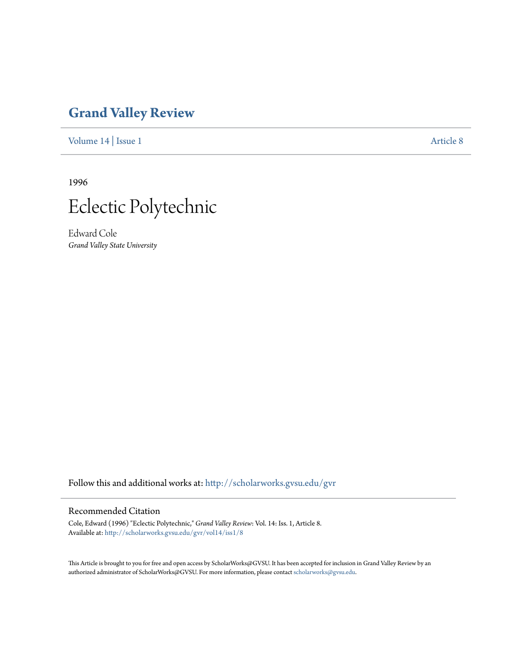## **[Grand Valley Review](http://scholarworks.gvsu.edu/gvr?utm_source=scholarworks.gvsu.edu%2Fgvr%2Fvol14%2Fiss1%2F8&utm_medium=PDF&utm_campaign=PDFCoverPages)**

[Volume 14](http://scholarworks.gvsu.edu/gvr/vol14?utm_source=scholarworks.gvsu.edu%2Fgvr%2Fvol14%2Fiss1%2F8&utm_medium=PDF&utm_campaign=PDFCoverPages) | [Issue 1](http://scholarworks.gvsu.edu/gvr/vol14/iss1?utm_source=scholarworks.gvsu.edu%2Fgvr%2Fvol14%2Fiss1%2F8&utm_medium=PDF&utm_campaign=PDFCoverPages) [Article 8](http://scholarworks.gvsu.edu/gvr/vol14/iss1/8?utm_source=scholarworks.gvsu.edu%2Fgvr%2Fvol14%2Fiss1%2F8&utm_medium=PDF&utm_campaign=PDFCoverPages)

1996



Edward Cole *Grand Valley State University*

Follow this and additional works at: [http://scholarworks.gvsu.edu/gvr](http://scholarworks.gvsu.edu/gvr?utm_source=scholarworks.gvsu.edu%2Fgvr%2Fvol14%2Fiss1%2F8&utm_medium=PDF&utm_campaign=PDFCoverPages)

## Recommended Citation

Cole, Edward (1996) "Eclectic Polytechnic," *Grand Valley Review*: Vol. 14: Iss. 1, Article 8. Available at: [http://scholarworks.gvsu.edu/gvr/vol14/iss1/8](http://scholarworks.gvsu.edu/gvr/vol14/iss1/8?utm_source=scholarworks.gvsu.edu%2Fgvr%2Fvol14%2Fiss1%2F8&utm_medium=PDF&utm_campaign=PDFCoverPages)

This Article is brought to you for free and open access by ScholarWorks@GVSU. It has been accepted for inclusion in Grand Valley Review by an authorized administrator of ScholarWorks@GVSU. For more information, please contact [scholarworks@gvsu.edu.](mailto:scholarworks@gvsu.edu)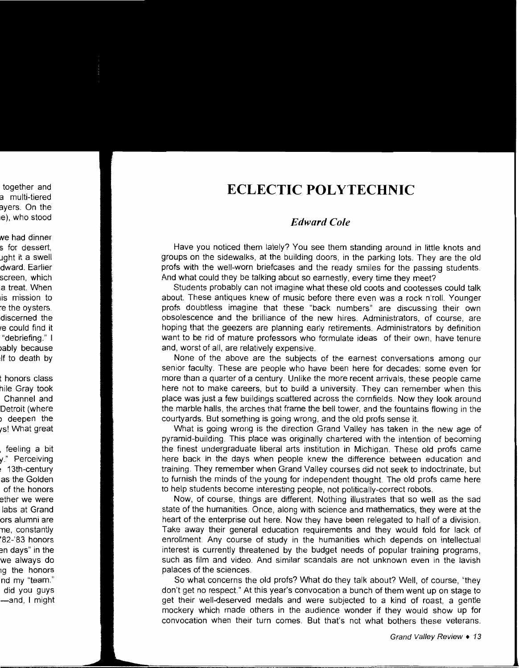## **ECLECTIC POLYTECHNIC**

## *Edward Cole*

Have you noticed them lately? You see them standing around in little knots and groups on the sidewalks, at the building doors, in the parking lots. They are the old profs with the well-worn briefcases and the ready smiles for the passing students. And what could they be talking about so earnestly, every time they meet?

Students probably can not imagine what these old coots and cootesses could talk about. These antiques knew of music before there even was a rock n'roll. Younger profs doubtless imagine that these "back numbers" are discussing their own obsolescence and the brilliance of the new hires. Administrators, of course, are hoping that the geezers are planning early retirements. Administrators by definition want to be rid of mature professors who formulate ideas of their own, have tenure and, worst of all, are relatively expensive.

None of the above are the subjects of the earnest conversations among our senior faculty. These are people who have been here for decades: some even for more than a quarter of a century. Unlike the more recent arrivals, these people came here not to make careers, but to build a university. They can remember when this place was just a few buildings scattered across the cornfields. Now they look around the marble halls, the arches that frame the bell tower, and the fountains flowing in the courtyards. But something is going wrong, and the old profs sense it.

What is going wrong is the direction Grand Valley has taken in the new age of pyramid-building. This place was originally chartered with the intention of becoming the finest undergraduate liberal arts institution in Michigan. These old profs came here back in the days when people knew the difference between education and training. They remember when Grand Valley courses did not seek to indoctrinate, but to furnish the minds of the young for independent thought. The old profs came here to help students become interesting people, not politically-correct robots.

Now, of course, things are different. Nothing illustrates that so well as the sad state of the humanities. Once, along with science and mathematics, they were at the heart of the enterprise out here. Now they have been relegated to half of a division. Take away their general education requirements and they would fold for lack of enrollment. Any course of study in the humanities which depends on intellectual interest is currently threatened by the budget needs of popular training programs, such as film and video. And similar scandals are not unknown even in the lavish palaces of the sciences.

So what concerns the old profs? What do they talk about? Well, of course, "they don't get no respect." At this year's convocation a bunch of them went up on stage to get their well-deserved medals and were subjected to a kind of roast, a gentle mockery which made others in the audience wonder if they would show up for convocation when their turn comes. But that's not what bothers these veterans.